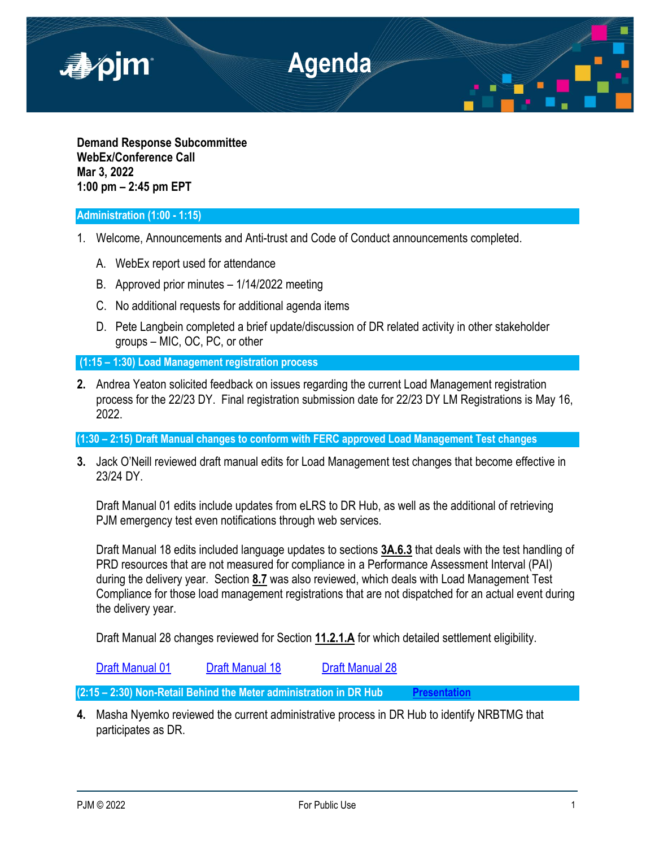

**Demand Response Subcommittee WebEx/Conference Call Mar 3, 2022 1:00 pm – 2:45 pm EPT**

## **Administration (1:00 - 1:15)**

- 1. Welcome, Announcements and Anti-trust and Code of Conduct announcements completed.
	- A. WebEx report used for attendance
	- B. Approved prior minutes 1/14/2022 meeting
	- C. No additional requests for additional agenda items
	- D. Pete Langbein completed a brief update/discussion of DR related activity in other stakeholder groups – MIC, OC, PC, or other

**(1:15 – 1:30) Load Management registration process** 

**2.** Andrea Yeaton solicited feedback on issues regarding the current Load Management registration process for the 22/23 DY. Final registration submission date for 22/23 DY LM Registrations is May 16, 2022.

**(1:30 – 2:15) Draft Manual changes to conform with FERC approved Load Management Test changes**

**3.** Jack O'Neill reviewed draft manual edits for Load Management test changes that become effective in 23/24 DY.

Draft Manual 01 edits include updates from eLRS to DR Hub, as well as the additional of retrieving PJM emergency test even notifications through web services.

Draft Manual 18 edits included language updates to sections **3A.6.3** that deals with the test handling of PRD resources that are not measured for compliance in a Performance Assessment Interval (PAI) during the delivery year. Section **8.7** was also reviewed, which deals with Load Management Test Compliance for those load management registrations that are not dispatched for an actual event during the delivery year.

Draft Manual 28 changes reviewed for Section **11.2.1.A** for which detailed settlement eligibility.

[Draft Manual 01](https://pjm.com/-/media/committees-groups/subcommittees/drs/2022/20220303/20220303-item-03a-manual-01.ashx) [Draft Manual 18](https://pjm.com/-/media/committees-groups/subcommittees/drs/2022/20220303/20220303-item-03b-manual-18.ashx) [Draft Manual 28](https://pjm.com/-/media/committees-groups/subcommittees/drs/2022/20220303/20220303-item-03c-manual-28.ashx)

**(2:15 – 2:30) Non-Retail Behind the Meter administration in DR Hub [Presentation](https://pjm.com/-/media/committees-groups/subcommittees/drs/2022/20220303/20220303-item-04-non-retail-behind-the-meter-generator-in-demand-response.ashx)**

**4.** Masha Nyemko reviewed the current administrative process in DR Hub to identify NRBTMG that participates as DR.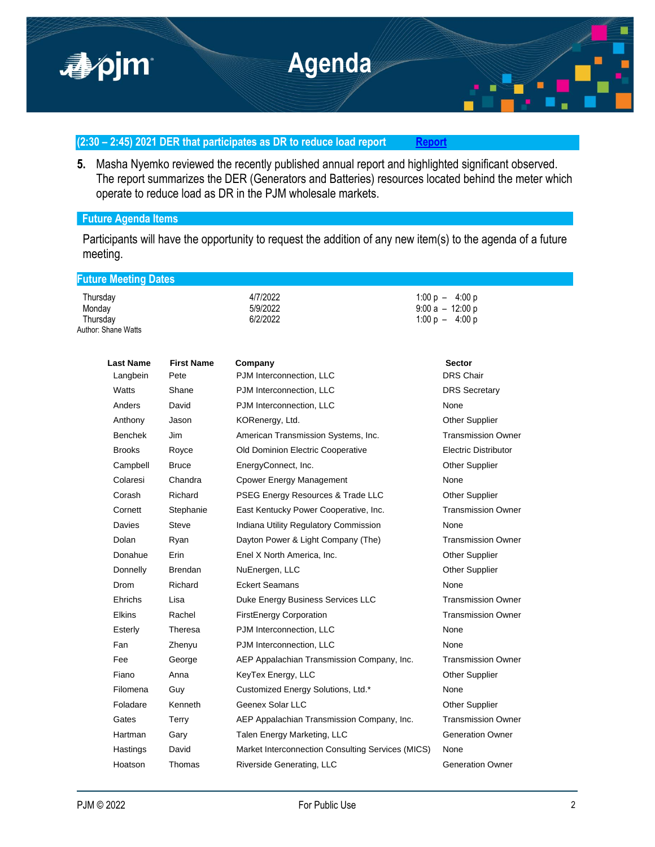

## **(2:30 – 2:45) 2021 DER that participates as DR to reduce load report [Report](https://pjm.com/-/media/committees-groups/subcommittees/drs/2022/20220303/20220303-item-05-2021-der-annual-report.ashx)**

**5.** Masha Nyemko reviewed the recently published annual report and highlighted significant observed. The report summarizes the DER (Generators and Batteries) resources located behind the meter which operate to reduce load as DR in the PJM wholesale markets.

## **Future Agenda Items**

**Future Meeting Dates**

Participants will have the opportunity to request the addition of any new item(s) to the agenda of a future meeting.

1:00 p – 4:00 p

Thursday 4/7/2022 1:00 p – 4:00 p

Monday 5/9/2022 9:00 a – 12:00 p Author: Shane Watts

| <b>Last Name</b> | <b>First Name</b> | Company                                           | <b>Sector</b>               |
|------------------|-------------------|---------------------------------------------------|-----------------------------|
| Langbein         | Pete              | PJM Interconnection, LLC                          | <b>DRS Chair</b>            |
| Watts            | Shane             | PJM Interconnection, LLC                          | <b>DRS Secretary</b>        |
| Anders           | David             | PJM Interconnection, LLC                          | None                        |
| Anthony          | Jason             | KORenergy, Ltd.                                   | <b>Other Supplier</b>       |
| <b>Benchek</b>   | Jim               | American Transmission Systems, Inc.               | <b>Transmission Owner</b>   |
| <b>Brooks</b>    | Royce             | Old Dominion Electric Cooperative                 | <b>Electric Distributor</b> |
| Campbell         | <b>Bruce</b>      | EnergyConnect, Inc.                               | <b>Other Supplier</b>       |
| Colaresi         | Chandra           | <b>Cpower Energy Management</b>                   | None                        |
| Corash           | Richard           | PSEG Energy Resources & Trade LLC                 | Other Supplier              |
| Cornett          | Stephanie         | East Kentucky Power Cooperative, Inc.             | <b>Transmission Owner</b>   |
| Davies           | <b>Steve</b>      | Indiana Utility Regulatory Commission             | None                        |
| Dolan            | Ryan              | Dayton Power & Light Company (The)                | <b>Transmission Owner</b>   |
| Donahue          | Erin              | Enel X North America, Inc.                        | <b>Other Supplier</b>       |
| Donnelly         | Brendan           | NuEnergen, LLC                                    | <b>Other Supplier</b>       |
| Drom             | Richard           | <b>Eckert Seamans</b>                             | None                        |
| Ehrichs          | Lisa              | Duke Energy Business Services LLC                 | <b>Transmission Owner</b>   |
| <b>Elkins</b>    | Rachel            | <b>FirstEnergy Corporation</b>                    | <b>Transmission Owner</b>   |
| Esterly          | Theresa           | PJM Interconnection, LLC                          | None                        |
| Fan              | Zhenyu            | PJM Interconnection, LLC                          | None                        |
| Fee              | George            | AEP Appalachian Transmission Company, Inc.        | <b>Transmission Owner</b>   |
| Fiano            | Anna              | KeyTex Energy, LLC                                | <b>Other Supplier</b>       |
| Filomena         | Guy               | Customized Energy Solutions, Ltd.*                | None                        |
| Foladare         | Kenneth           | Geenex Solar LLC                                  | <b>Other Supplier</b>       |
| Gates            | Terry             | AEP Appalachian Transmission Company, Inc.        | <b>Transmission Owner</b>   |
| Hartman          | Gary              | Talen Energy Marketing, LLC                       | <b>Generation Owner</b>     |
| Hastings         | David             | Market Interconnection Consulting Services (MICS) | None                        |
| Hoatson          | Thomas            | Riverside Generating, LLC                         | <b>Generation Owner</b>     |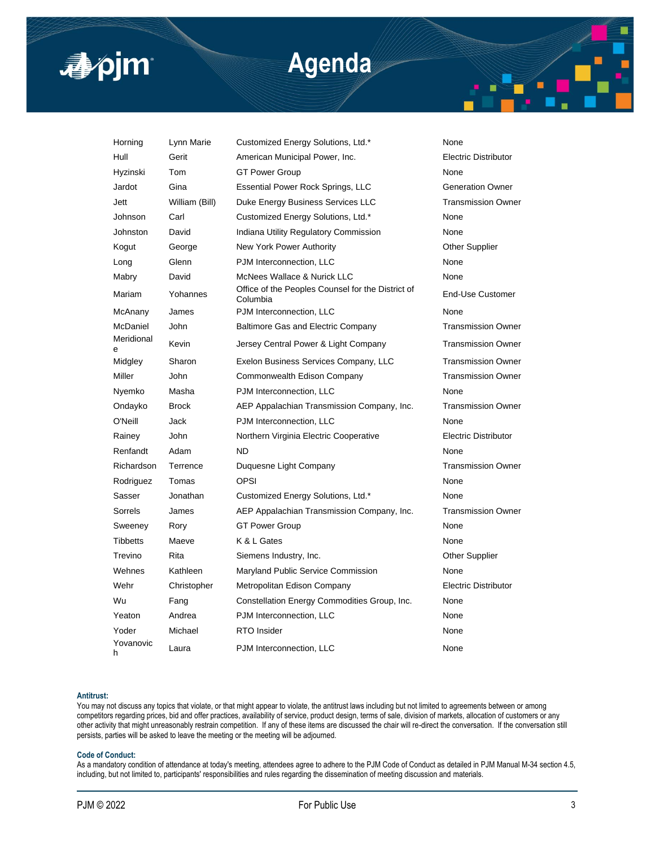

# **Agenda**

| Horning         | Lynn Marie     | Customized Energy Solutions, Ltd.*                            | None                        |
|-----------------|----------------|---------------------------------------------------------------|-----------------------------|
| Hull            | Gerit          | American Municipal Power, Inc.                                | <b>Electric Distributor</b> |
| Hyzinski        | Tom            | <b>GT Power Group</b>                                         | None                        |
| Jardot          | Gina           | <b>Essential Power Rock Springs, LLC</b>                      | <b>Generation Owner</b>     |
| Jett            | William (Bill) | Duke Energy Business Services LLC                             | <b>Transmission Owner</b>   |
| Johnson         | Carl           | Customized Energy Solutions, Ltd.*                            | None                        |
| Johnston        | David          | Indiana Utility Regulatory Commission                         | None                        |
| Kogut           | George         | New York Power Authority                                      | <b>Other Supplier</b>       |
| Long            | Glenn          | PJM Interconnection, LLC                                      | None                        |
| Mabry           | David          | McNees Wallace & Nurick LLC                                   | None                        |
| Mariam          | Yohannes       | Office of the Peoples Counsel for the District of<br>Columbia | End-Use Customer            |
| McAnany         | James          | PJM Interconnection, LLC                                      | None                        |
| McDaniel        | John           | <b>Baltimore Gas and Electric Company</b>                     | <b>Transmission Owner</b>   |
| Meridional<br>e | Kevin          | Jersey Central Power & Light Company                          | <b>Transmission Owner</b>   |
| Midgley         | Sharon         | Exelon Business Services Company, LLC                         | <b>Transmission Owner</b>   |
| Miller          | John           | Commonwealth Edison Company                                   | <b>Transmission Owner</b>   |
| Nyemko          | Masha          | PJM Interconnection, LLC                                      | None                        |
| Ondayko         | <b>Brock</b>   | AEP Appalachian Transmission Company, Inc.                    | <b>Transmission Owner</b>   |
| O'Neill         | Jack           | PJM Interconnection, LLC                                      | None                        |
| Rainey          | John           | Northern Virginia Electric Cooperative                        | <b>Electric Distributor</b> |
| Renfandt        | Adam           | <b>ND</b>                                                     | None                        |
| Richardson      | Terrence       | Duquesne Light Company                                        | <b>Transmission Owner</b>   |
| Rodriguez       | Tomas          | OPSI                                                          | None                        |
| Sasser          | Jonathan       | Customized Energy Solutions, Ltd.*                            | None                        |
| Sorrels         | James          | AEP Appalachian Transmission Company, Inc.                    | <b>Transmission Owner</b>   |
| Sweeney         | Rory           | <b>GT Power Group</b>                                         | None                        |
| <b>Tibbetts</b> | Maeve          | K & L Gates                                                   | None                        |
| Trevino         | Rita           | Siemens Industry, Inc.                                        | <b>Other Supplier</b>       |
| Wehnes          | Kathleen       | Maryland Public Service Commission                            | None                        |
| Wehr            | Christopher    | Metropolitan Edison Company                                   | <b>Electric Distributor</b> |
| Wu              | Fang           | Constellation Energy Commodities Group, Inc.                  | None                        |
| Yeaton          | Andrea         | PJM Interconnection, LLC                                      | None                        |
| Yoder           | Michael        | <b>RTO</b> Insider                                            | None                        |
| Yovanovic<br>h  | Laura          | PJM Interconnection, LLC                                      | None                        |

#### **Antitrust:**

You may not discuss any topics that violate, or that might appear to violate, the antitrust laws including but not limited to agreements between or among competitors regarding prices, bid and offer practices, availability of service, product design, terms of sale, division of markets, allocation of customers or any other activity that might unreasonably restrain competition. If any of these items are discussed the chair will re-direct the conversation. If the conversation still persists, parties will be asked to leave the meeting or the meeting will be adjourned.

#### **Code of Conduct:**

As a mandatory condition of attendance at today's meeting, attendees agree to adhere to the PJM Code of Conduct as detailed in PJM Manual M-34 section 4.5, including, but not limited to, participants' responsibilities and rules regarding the dissemination of meeting discussion and materials.